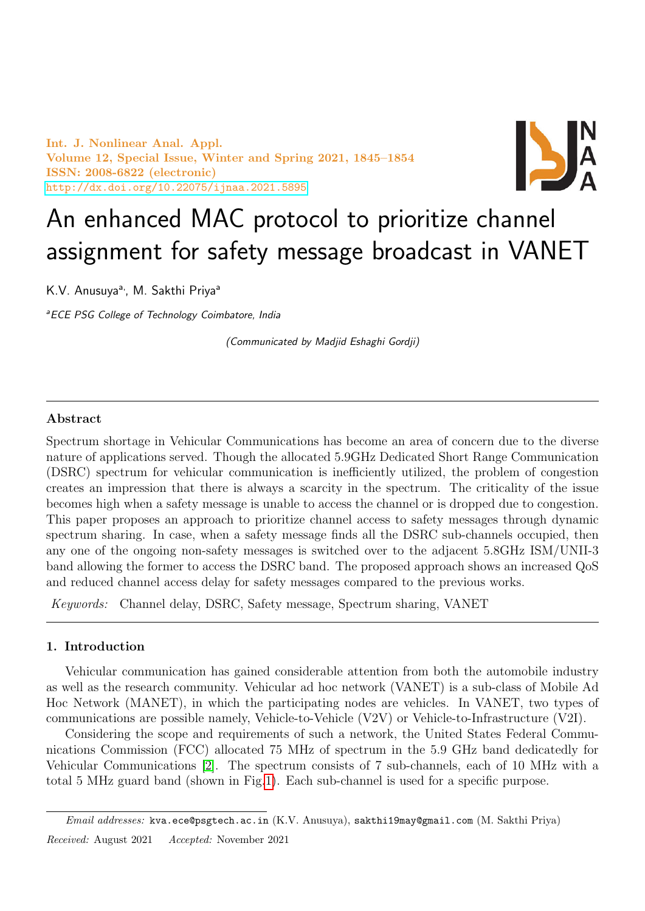Int. J. Nonlinear Anal. Appl. Volume 12, Special Issue, Winter and Spring 2021, 1845–1854 ISSN: 2008-6822 (electronic) <http://dx.doi.org/10.22075/ijnaa.2021.5895>



# An enhanced MAC protocol to prioritize channel assignment for safety message broadcast in VANET

K.V. Anusuya<sup>a,</sup>, M. Sakthi Priya<sup>a</sup>

<sup>a</sup> ECE PSG College of Technology Coimbatore, India

(Communicated by Madjid Eshaghi Gordji)

# Abstract

Spectrum shortage in Vehicular Communications has become an area of concern due to the diverse nature of applications served. Though the allocated 5.9GHz Dedicated Short Range Communication (DSRC) spectrum for vehicular communication is inefficiently utilized, the problem of congestion creates an impression that there is always a scarcity in the spectrum. The criticality of the issue becomes high when a safety message is unable to access the channel or is dropped due to congestion. This paper proposes an approach to prioritize channel access to safety messages through dynamic spectrum sharing. In case, when a safety message finds all the DSRC sub-channels occupied, then any one of the ongoing non-safety messages is switched over to the adjacent 5.8GHz ISM/UNII-3 band allowing the former to access the DSRC band. The proposed approach shows an increased QoS and reduced channel access delay for safety messages compared to the previous works.

Keywords: Channel delay, DSRC, Safety message, Spectrum sharing, VANET

## 1. Introduction

Vehicular communication has gained considerable attention from both the automobile industry as well as the research community. Vehicular ad hoc network (VANET) is a sub-class of Mobile Ad Hoc Network (MANET), in which the participating nodes are vehicles. In VANET, two types of communications are possible namely, Vehicle-to-Vehicle (V2V) or Vehicle-to-Infrastructure (V2I).

Considering the scope and requirements of such a network, the United States Federal Communications Commission (FCC) allocated 75 MHz of spectrum in the 5.9 GHz band dedicatedly for Vehicular Communications [\[2\]](#page-9-0). The spectrum consists of 7 sub-channels, each of 10 MHz with a total 5 MHz guard band (shown in Fig[.1\)](#page-1-0). Each sub-channel is used for a specific purpose.

Email addresses: kva.ece@psgtech.ac.in (K.V. Anusuya), sakthi19may@gmail.com (M. Sakthi Priya) Received: August 2021 Accepted: November 2021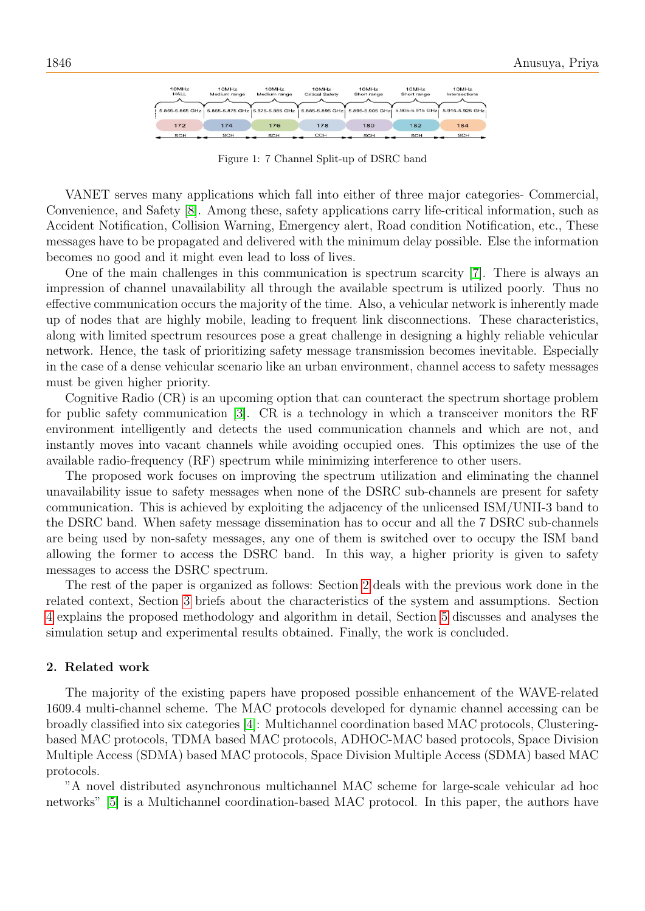| 10MHz<br>HALL   | 10MHz<br>Medium range | 10MHz<br>Medium range             | 10MHz<br><b>Critical Safety</b> | 10MHz<br>Short range | 10MHz<br>Short range | 10MHz<br>Intersections |
|-----------------|-----------------------|-----------------------------------|---------------------------------|----------------------|----------------------|------------------------|
| 5.855-5.865 GHz |                       | 5,865-5,875 GHz   5.875-5,885 GHz | 5.885-5.895 GHz                 | 5.895-5.905 GHz      | 5.905-5.915 GHz      | 5.915-5.925 GHz        |
| 172             | 174                   | 176                               | 178                             | 180                  | 182                  | 184                    |
| SCH             | SCH                   | SCH                               | CCH                             | SCH                  | SCH                  | SCH                    |

<span id="page-1-0"></span>Figure 1: 7 Channel Split-up of DSRC band

VANET serves many applications which fall into either of three major categories- Commercial, Convenience, and Safety [\[8\]](#page-9-1). Among these, safety applications carry life-critical information, such as Accident Notification, Collision Warning, Emergency alert, Road condition Notification, etc., These messages have to be propagated and delivered with the minimum delay possible. Else the information becomes no good and it might even lead to loss of lives.

One of the main challenges in this communication is spectrum scarcity [\[7\]](#page-9-2). There is always an impression of channel unavailability all through the available spectrum is utilized poorly. Thus no effective communication occurs the majority of the time. Also, a vehicular network is inherently made up of nodes that are highly mobile, leading to frequent link disconnections. These characteristics, along with limited spectrum resources pose a great challenge in designing a highly reliable vehicular network. Hence, the task of prioritizing safety message transmission becomes inevitable. Especially in the case of a dense vehicular scenario like an urban environment, channel access to safety messages must be given higher priority.

Cognitive Radio (CR) is an upcoming option that can counteract the spectrum shortage problem for public safety communication [\[3\]](#page-9-3). CR is a technology in which a transceiver monitors the RF environment intelligently and detects the used communication channels and which are not, and instantly moves into vacant channels while avoiding occupied ones. This optimizes the use of the available radio-frequency (RF) spectrum while minimizing interference to other users.

The proposed work focuses on improving the spectrum utilization and eliminating the channel unavailability issue to safety messages when none of the DSRC sub-channels are present for safety communication. This is achieved by exploiting the adjacency of the unlicensed ISM/UNII-3 band to the DSRC band. When safety message dissemination has to occur and all the 7 DSRC sub-channels are being used by non-safety messages, any one of them is switched over to occupy the ISM band allowing the former to access the DSRC band. In this way, a higher priority is given to safety messages to access the DSRC spectrum.

The rest of the paper is organized as follows: Section [2](#page-1-1) deals with the previous work done in the related context, Section [3](#page-2-0) briefs about the characteristics of the system and assumptions. Section [4](#page-2-1) explains the proposed methodology and algorithm in detail, Section [5](#page-5-0) discusses and analyses the simulation setup and experimental results obtained. Finally, the work is concluded.

#### <span id="page-1-1"></span>2. Related work

The majority of the existing papers have proposed possible enhancement of the WAVE-related 1609.4 multi-channel scheme. The MAC protocols developed for dynamic channel accessing can be broadly classified into six categories [\[4\]](#page-9-4): Multichannel coordination based MAC protocols, Clusteringbased MAC protocols, TDMA based MAC protocols, ADHOC-MAC based protocols, Space Division Multiple Access (SDMA) based MAC protocols, Space Division Multiple Access (SDMA) based MAC protocols.

"A novel distributed asynchronous multichannel MAC scheme for large-scale vehicular ad hoc networks" [\[5\]](#page-9-5) is a Multichannel coordination-based MAC protocol. In this paper, the authors have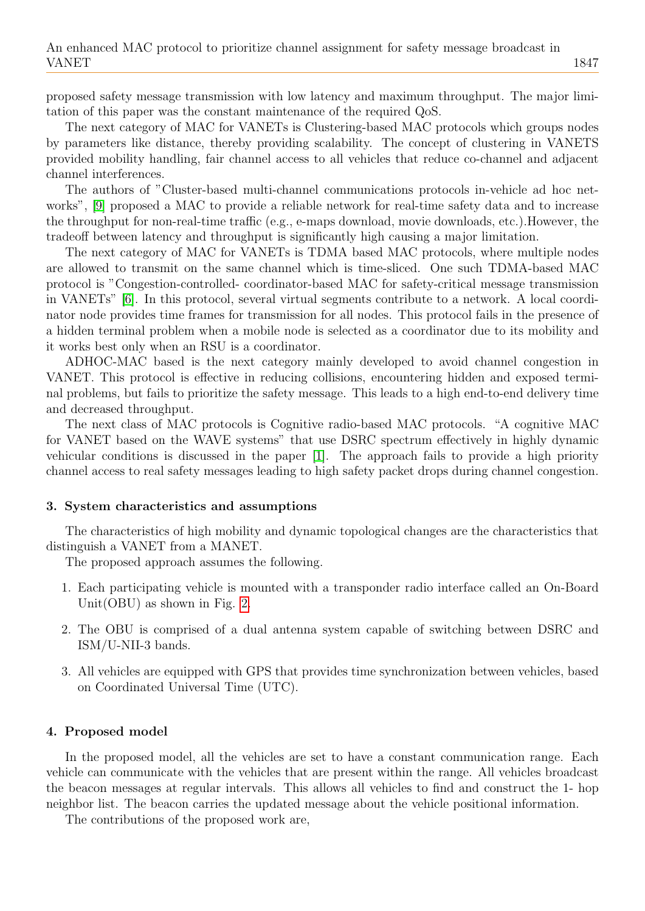proposed safety message transmission with low latency and maximum throughput. The major limitation of this paper was the constant maintenance of the required QoS.

The next category of MAC for VANETs is Clustering-based MAC protocols which groups nodes by parameters like distance, thereby providing scalability. The concept of clustering in VANETS provided mobility handling, fair channel access to all vehicles that reduce co-channel and adjacent channel interferences.

The authors of "Cluster-based multi-channel communications protocols in-vehicle ad hoc networks", [\[9\]](#page-9-6) proposed a MAC to provide a reliable network for real-time safety data and to increase the throughput for non-real-time traffic (e.g., e-maps download, movie downloads, etc.).However, the tradeoff between latency and throughput is significantly high causing a major limitation.

The next category of MAC for VANETs is TDMA based MAC protocols, where multiple nodes are allowed to transmit on the same channel which is time-sliced. One such TDMA-based MAC protocol is "Congestion-controlled- coordinator-based MAC for safety-critical message transmission in VANETs" [\[6\]](#page-9-7). In this protocol, several virtual segments contribute to a network. A local coordinator node provides time frames for transmission for all nodes. This protocol fails in the presence of a hidden terminal problem when a mobile node is selected as a coordinator due to its mobility and it works best only when an RSU is a coordinator.

ADHOC-MAC based is the next category mainly developed to avoid channel congestion in VANET. This protocol is effective in reducing collisions, encountering hidden and exposed terminal problems, but fails to prioritize the safety message. This leads to a high end-to-end delivery time and decreased throughput.

The next class of MAC protocols is Cognitive radio-based MAC protocols. "A cognitive MAC for VANET based on the WAVE systems" that use DSRC spectrum effectively in highly dynamic vehicular conditions is discussed in the paper [\[1\]](#page-9-8). The approach fails to provide a high priority channel access to real safety messages leading to high safety packet drops during channel congestion.

#### <span id="page-2-0"></span>3. System characteristics and assumptions

The characteristics of high mobility and dynamic topological changes are the characteristics that distinguish a VANET from a MANET.

The proposed approach assumes the following.

- 1. Each participating vehicle is mounted with a transponder radio interface called an On-Board Unit(OBU) as shown in Fig. [2.](#page-3-0)
- 2. The OBU is comprised of a dual antenna system capable of switching between DSRC and ISM/U-NII-3 bands.
- 3. All vehicles are equipped with GPS that provides time synchronization between vehicles, based on Coordinated Universal Time (UTC).

#### <span id="page-2-1"></span>4. Proposed model

In the proposed model, all the vehicles are set to have a constant communication range. Each vehicle can communicate with the vehicles that are present within the range. All vehicles broadcast the beacon messages at regular intervals. This allows all vehicles to find and construct the 1- hop neighbor list. The beacon carries the updated message about the vehicle positional information.

The contributions of the proposed work are,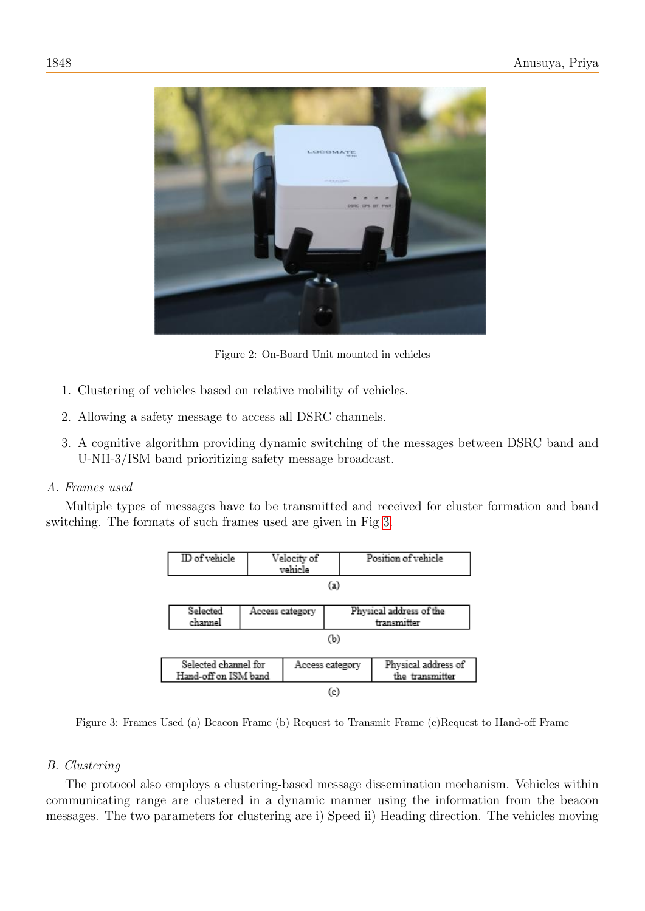

Figure 2: On-Board Unit mounted in vehicles

- 1. Clustering of vehicles based on relative mobility of vehicles.
- 2. Allowing a safety message to access all DSRC channels.
- 3. A cognitive algorithm providing dynamic switching of the messages between DSRC band and U-NII-3/ISM band prioritizing safety message broadcast.

# A. Frames used

Multiple types of messages have to be transmitted and received for cluster formation and band switching. The formats of such frames used are given in Fig [3.](#page-3-1)

<span id="page-3-1"></span><span id="page-3-0"></span>

Figure 3: Frames Used (a) Beacon Frame (b) Request to Transmit Frame (c)Request to Hand-off Frame

# B. Clustering

The protocol also employs a clustering-based message dissemination mechanism. Vehicles within communicating range are clustered in a dynamic manner using the information from the beacon messages. The two parameters for clustering are i) Speed ii) Heading direction. The vehicles moving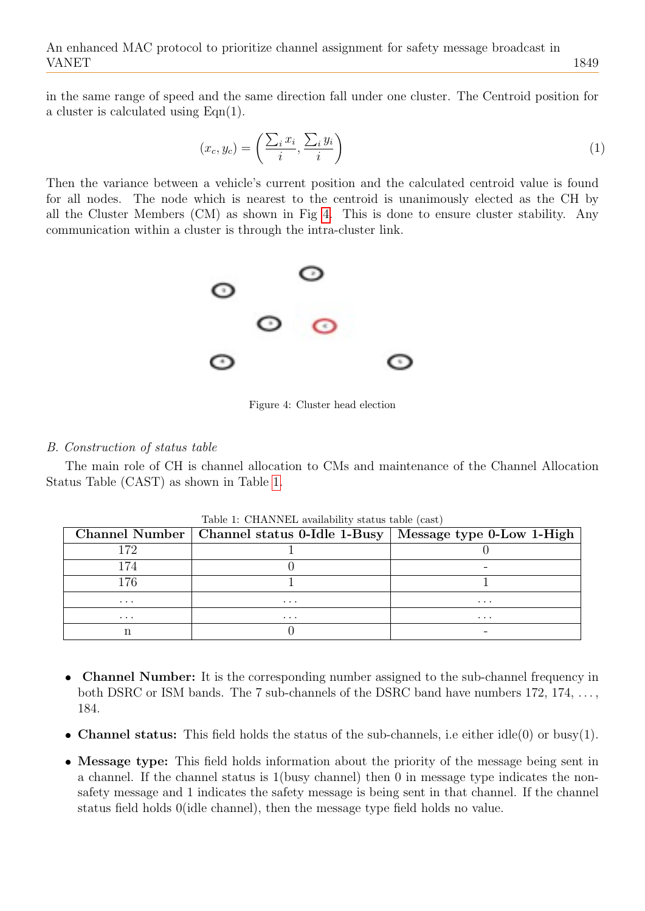in the same range of speed and the same direction fall under one cluster. The Centroid position for a cluster is calculated using Eqn(1).

$$
(x_c, y_c) = \left(\frac{\sum_i x_i}{i}, \frac{\sum_i y_i}{i}\right) \tag{1}
$$

Then the variance between a vehicle's current position and the calculated centroid value is found for all nodes. The node which is nearest to the centroid is unanimously elected as the CH by all the Cluster Members (CM) as shown in Fig [4.](#page-4-0) This is done to ensure cluster stability. Any communication within a cluster is through the intra-cluster link.



<span id="page-4-0"></span>Figure 4: Cluster head election

## B. Construction of status table

The main role of CH is channel allocation to CMs and maintenance of the Channel Allocation Status Table (CAST) as shown in Table [1.](#page-4-1)

<span id="page-4-1"></span>

|          | Channel Number   Channel status 0-Idle 1-Busy   Message type 0-Low 1-High |          |
|----------|---------------------------------------------------------------------------|----------|
| 172      |                                                                           |          |
| 174      |                                                                           |          |
| 176      |                                                                           |          |
| $\cdots$ | $\cdots$                                                                  | $\cdots$ |
| $\cdots$ | $\cdots$                                                                  | $\cdots$ |
|          |                                                                           |          |

Table 1: CHANNEL availability status table (cast)

- $\bullet$  Channel Number: It is the corresponding number assigned to the sub-channel frequency in both DSRC or ISM bands. The 7 sub-channels of the DSRC band have numbers 172, 174, ..., 184.
- Channel status: This field holds the status of the sub-channels, i.e either  $idle(0)$  or busy(1).
- Message type: This field holds information about the priority of the message being sent in a channel. If the channel status is 1(busy channel) then 0 in message type indicates the nonsafety message and 1 indicates the safety message is being sent in that channel. If the channel status field holds 0(idle channel), then the message type field holds no value.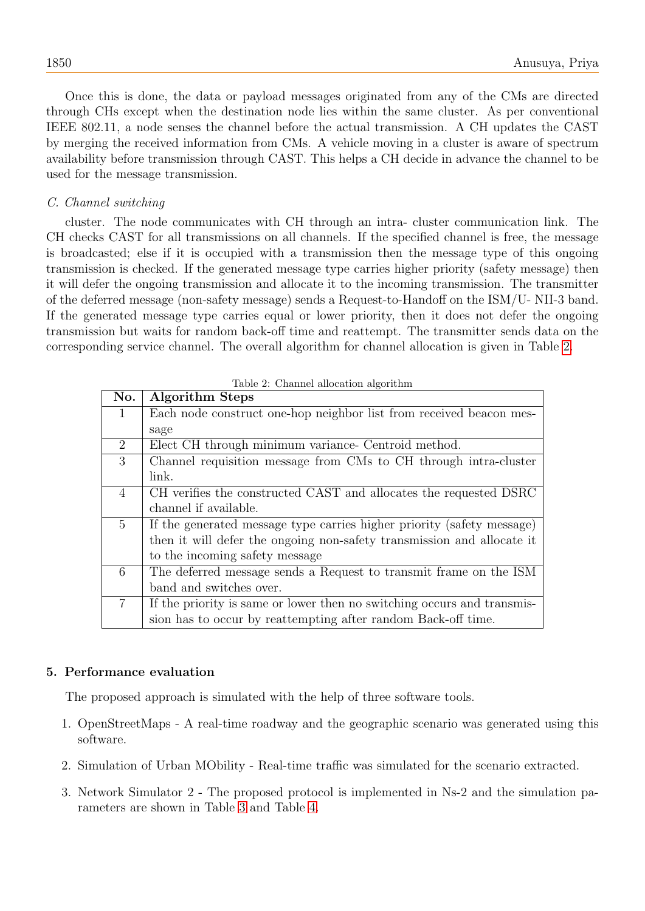Once this is done, the data or payload messages originated from any of the CMs are directed through CHs except when the destination node lies within the same cluster. As per conventional IEEE 802.11, a node senses the channel before the actual transmission. A CH updates the CAST by merging the received information from CMs. A vehicle moving in a cluster is aware of spectrum availability before transmission through CAST. This helps a CH decide in advance the channel to be used for the message transmission.

# C. Channel switching

cluster. The node communicates with CH through an intra- cluster communication link. The CH checks CAST for all transmissions on all channels. If the specified channel is free, the message is broadcasted; else if it is occupied with a transmission then the message type of this ongoing transmission is checked. If the generated message type carries higher priority (safety message) then it will defer the ongoing transmission and allocate it to the incoming transmission. The transmitter of the deferred message (non-safety message) sends a Request-to-Handoff on the ISM/U- NII-3 band. If the generated message type carries equal or lower priority, then it does not defer the ongoing transmission but waits for random back-off time and reattempt. The transmitter sends data on the corresponding service channel. The overall algorithm for channel allocation is given in Table [2.](#page-5-1)

<span id="page-5-1"></span>

| No.            | <b>Algorithm Steps</b>                                                  |
|----------------|-------------------------------------------------------------------------|
| 1              | Each node construct one-hop neighbor list from received beacon mes-     |
|                | sage                                                                    |
| $\overline{2}$ | Elect CH through minimum variance- Centroid method.                     |
| 3              | Channel requisition message from CMs to CH through intra-cluster        |
|                | link.                                                                   |
| $\overline{4}$ | CH verifies the constructed CAST and allocates the requested DSRC       |
|                | channel if available.                                                   |
| $\overline{5}$ | If the generated message type carries higher priority (safety message)  |
|                | then it will defer the ongoing non-safety transmission and allocate it  |
|                | to the incoming safety message                                          |
| 6              | The deferred message sends a Request to transmit frame on the ISM       |
|                | band and switches over.                                                 |
| $\overline{7}$ | If the priority is same or lower then no switching occurs and transmis- |
|                | sion has to occur by reattempting after random Back-off time.           |

|  |  |  | Table 2: Channel allocation algorithm |  |
|--|--|--|---------------------------------------|--|
|--|--|--|---------------------------------------|--|

# <span id="page-5-0"></span>5. Performance evaluation

The proposed approach is simulated with the help of three software tools.

- 1. OpenStreetMaps A real-time roadway and the geographic scenario was generated using this software.
- 2. Simulation of Urban MObility Real-time traffic was simulated for the scenario extracted.
- 3. Network Simulator 2 The proposed protocol is implemented in Ns-2 and the simulation parameters are shown in Table [3](#page-6-0) and Table [4.](#page-6-1)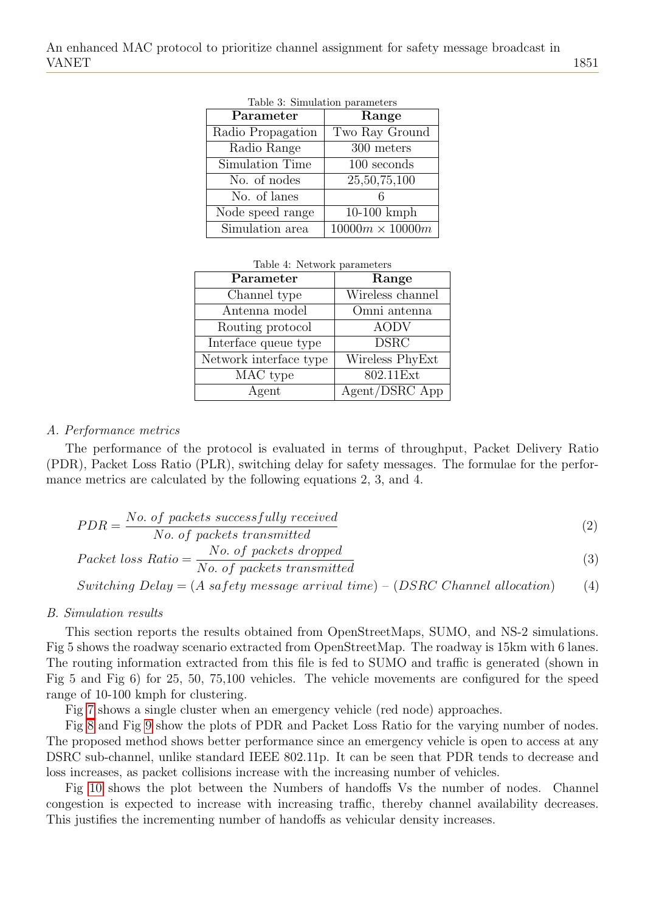<span id="page-6-0"></span>

| Parameter         | Range                  |
|-------------------|------------------------|
| Radio Propagation | Two Ray Ground         |
| Radio Range       | 300 meters             |
| Simulation Time   | 100 seconds            |
| No. of nodes      | 25,50,75,100           |
| No. of lanes      |                        |
| Node speed range  | $10-100$ kmph          |
| Simulation area   | $10000m \times 10000m$ |

|  | Table 3: Simulation parameters |  |
|--|--------------------------------|--|
|--|--------------------------------|--|

|  |  | Table 4: Network parameters |
|--|--|-----------------------------|
|--|--|-----------------------------|

<span id="page-6-1"></span>

| Parameter              | Range            |
|------------------------|------------------|
| Channel type           | Wireless channel |
| Antenna model          | Omni antenna     |
| Routing protocol       | <b>AODV</b>      |
| Interface queue type   | <b>DSRC</b>      |
| Network interface type | Wireless PhyExt  |
| MAC type               | 802.11Ext        |
| Agent                  | Agent/DSRC App   |

#### A. Performance metrics

The performance of the protocol is evaluated in terms of throughput, Packet Delivery Ratio (PDR), Packet Loss Ratio (PLR), switching delay for safety messages. The formulae for the performance metrics are calculated by the following equations 2, 3, and 4.

$$
PDR = \frac{No. \ of \ packets \ successfully \ received}{No. \ of \ packets \ transmitted}
$$
\n
$$
(2)
$$

*No. of packets transmitted*  
Packet loss Ratio = 
$$
\frac{No. of packets dropped}{N} \times (1 + N) \times (1 + N)
$$

$$
Packet loss Ratio = \frac{100.9 \text{ packets in } upper}{No. of packets transmitted}
$$
 (3)

$$
Switching Delay = (A\ safety\ message\ arrival\ time) - (DSRC\ Channel\ allocation) \tag{4}
$$

#### B. Simulation results

This section reports the results obtained from OpenStreetMaps, SUMO, and NS-2 simulations. Fig 5 shows the roadway scenario extracted from OpenStreetMap. The roadway is 15km with 6 lanes. The routing information extracted from this file is fed to SUMO and traffic is generated (shown in Fig 5 and Fig 6) for 25, 50, 75,100 vehicles. The vehicle movements are configured for the speed range of 10-100 kmph for clustering.

Fig [7](#page-7-0) shows a single cluster when an emergency vehicle (red node) approaches.

Fig [8](#page-8-0) and Fig [9](#page-8-1) show the plots of PDR and Packet Loss Ratio for the varying number of nodes. The proposed method shows better performance since an emergency vehicle is open to access at any DSRC sub-channel, unlike standard IEEE 802.11p. It can be seen that PDR tends to decrease and loss increases, as packet collisions increase with the increasing number of vehicles.

Fig [10](#page-8-2) shows the plot between the Numbers of handoffs Vs the number of nodes. Channel congestion is expected to increase with increasing traffic, thereby channel availability decreases. This justifies the incrementing number of handoffs as vehicular density increases.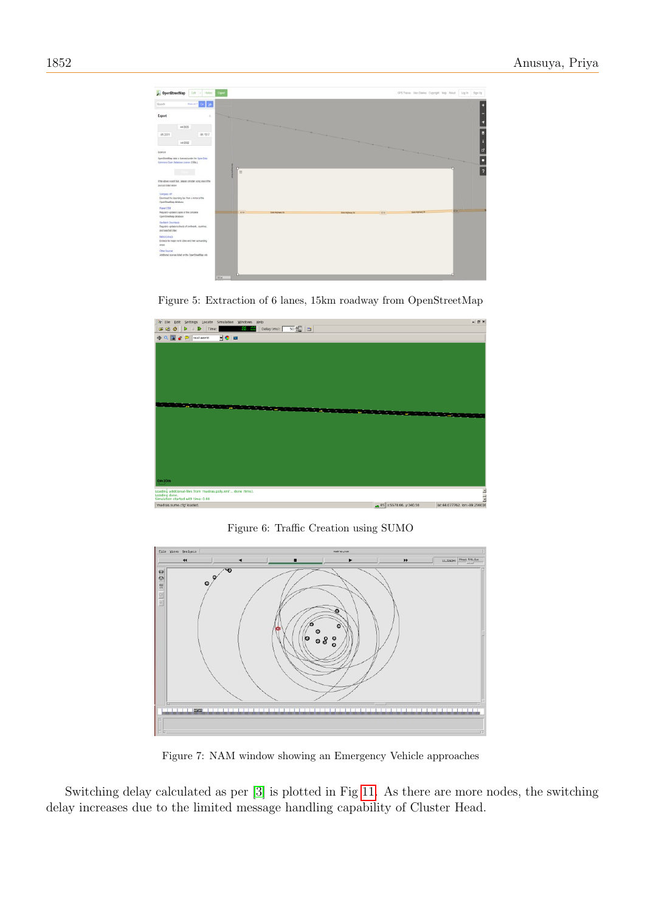





<span id="page-7-0"></span>Figure 6: Traffic Creation using SUMO



Figure 7: NAM window showing an Emergency Vehicle approaches

Switching delay calculated as per [\[3\]](#page-9-3) is plotted in Fig [11.](#page-9-9) As there are more nodes, the switching delay increases due to the limited message handling capability of Cluster Head.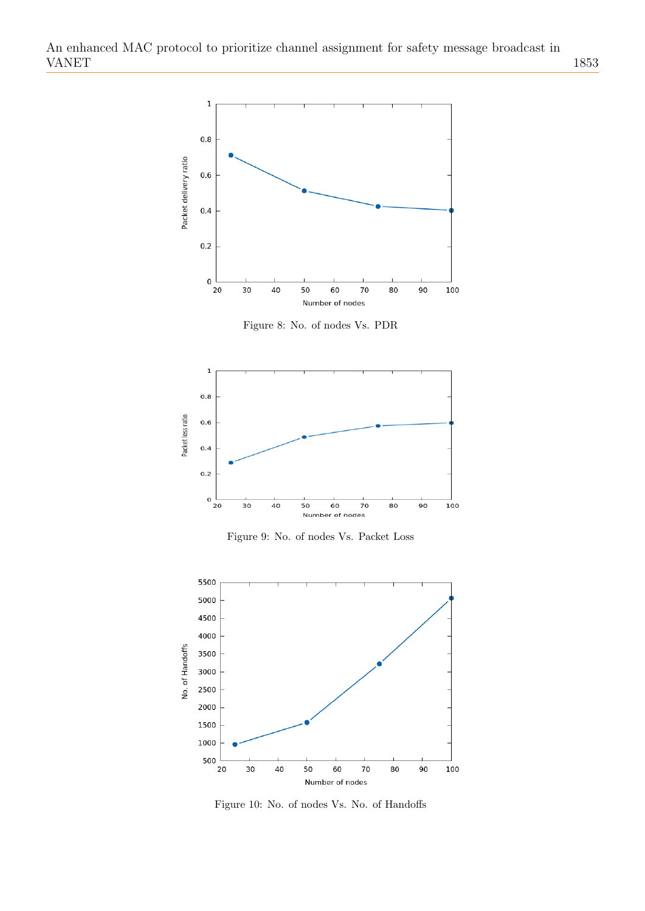

<span id="page-8-0"></span>Figure 8: No. of nodes Vs. PDR



<span id="page-8-1"></span>Figure 9: No. of nodes Vs. Packet Loss



<span id="page-8-2"></span>Figure 10: No. of nodes Vs. No. of Handoffs